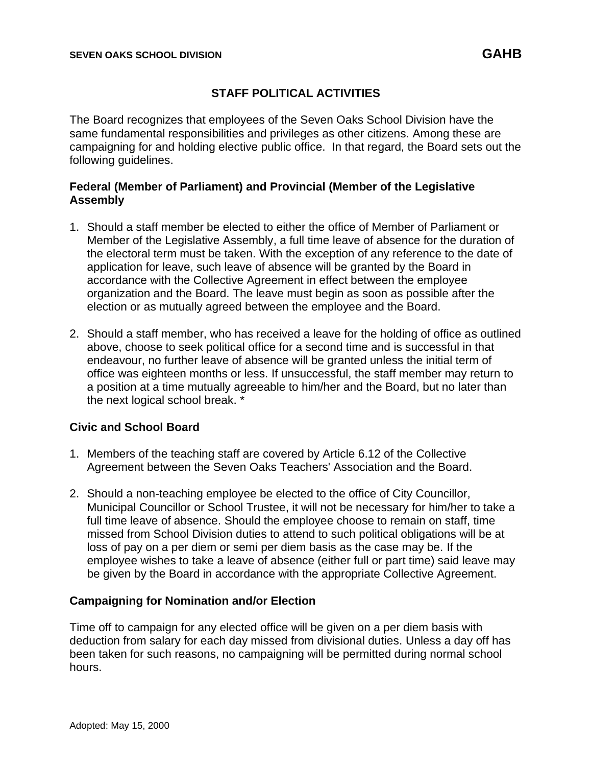# **STAFF POLITICAL ACTIVITIES**

The Board recognizes that employees of the Seven Oaks School Division have the same fundamental responsibilities and privileges as other citizens. Among these are campaigning for and holding elective public office. In that regard, the Board sets out the following guidelines.

#### **Federal (Member of Parliament) and Provincial (Member of the Legislative Assembly**

- 1. Should a staff member be elected to either the office of Member of Parliament or Member of the Legislative Assembly, a full time leave of absence for the duration of the electoral term must be taken. With the exception of any reference to the date of application for leave, such leave of absence will be granted by the Board in accordance with the Collective Agreement in effect between the employee organization and the Board. The leave must begin as soon as possible after the election or as mutually agreed between the employee and the Board.
- 2. Should a staff member, who has received a leave for the holding of office as outlined above, choose to seek political office for a second time and is successful in that endeavour, no further leave of absence will be granted unless the initial term of office was eighteen months or less. If unsuccessful, the staff member may return to a position at a time mutually agreeable to him/her and the Board, but no later than the next logical school break. \*

## **Civic and School Board**

- 1. Members of the teaching staff are covered by Article 6.12 of the Collective Agreement between the Seven Oaks Teachers' Association and the Board.
- 2. Should a non-teaching employee be elected to the office of City Councillor, Municipal Councillor or School Trustee, it will not be necessary for him/her to take a full time leave of absence. Should the employee choose to remain on staff, time missed from School Division duties to attend to such political obligations will be at loss of pay on a per diem or semi per diem basis as the case may be. If the employee wishes to take a leave of absence (either full or part time) said leave may be given by the Board in accordance with the appropriate Collective Agreement.

## **Campaigning for Nomination and/or Election**

Time off to campaign for any elected office will be given on a per diem basis with deduction from salary for each day missed from divisional duties. Unless a day off has been taken for such reasons, no campaigning will be permitted during normal school hours.